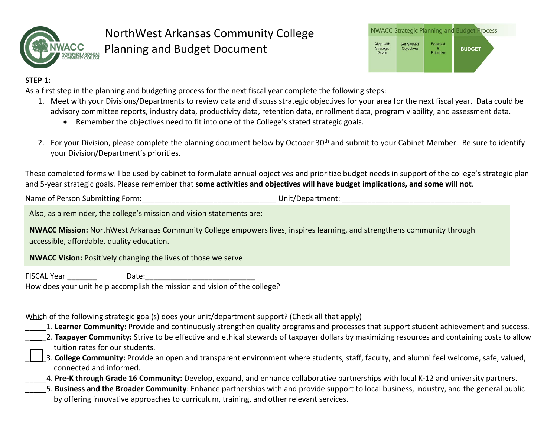



### **STEP 1:**

As a first step in the planning and budgeting process for the next fiscal year complete the following steps:

- 1. Meet with your Divisions/Departments to review data and discuss strategic objectives for your area for the next fiscal year. Data could be advisory committee reports, industry data, productivity data, retention data, enrollment data, program viability, and assessment data.
	- Remember the objectives need to fit into one of the College's stated strategic goals.
- 2. For your Division, please complete the planning document below by October 30<sup>th</sup> and submit to your Cabinet Member. Be sure to identify your Division/Department's priorities.

These completed forms will be used by cabinet to formulate annual objectives and prioritize budget needs in support of the college's strategic plan and 5-year strategic goals. Please remember that **some activities and objectives will have budget implications, and some will not**.

Name of Person Submitting Form: example and the state of Person Submitting Form: example and the state of District

Also, as a reminder, the college's mission and vision statements are:

**NWACC Mission:** NorthWest Arkansas Community College empowers lives, inspires learning, and strengthens community through accessible, affordable, quality education.

**NWACC Vision:** Positively changing the lives of those we serve

FISCAL Year **Date:** 

How does your unit help accomplish the mission and vision of the college?

## Which of the following strategic goal(s) does your unit/department support? (Check all that apply)

\_\_\_\_\_1. **Learner Community:** Provide and continuously strengthen quality programs and processes that support student achievement and success.

- 2. Taxpayer Community: Strive to be effective and ethical stewards of taxpayer dollars by maximizing resources and containing costs to allow tuition rates for our students.
- \_\_\_\_\_3. **College Community:** Provide an open and transparent environment where students, staff, faculty, and alumni feel welcome, safe, valued, connected and informed.

\_\_\_\_\_4. **Pre-K through Grade 16 Community:** Develop, expand, and enhance collaborative partnerships with local K-12 and university partners.

\_\_\_\_\_5. **Business and the Broader Community**: Enhance partnerships with and provide support to local business, industry, and the general public by offering innovative approaches to curriculum, training, and other relevant services.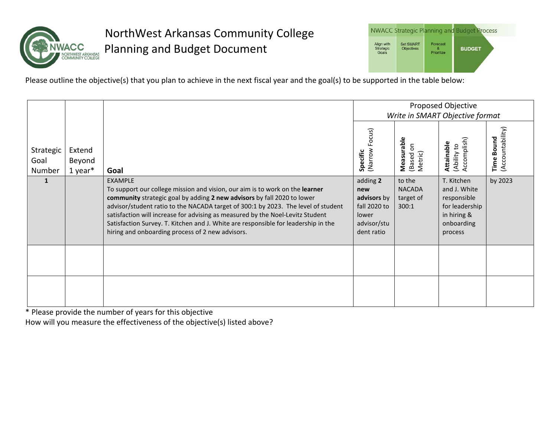

|                                         |                                       |                        | <b>NWACC Strategic Planning and Budget Process</b> |
|-----------------------------------------|---------------------------------------|------------------------|----------------------------------------------------|
| Align with<br><b>Strategic</b><br>Goals | <b>Set SMART</b><br><b>Objectives</b> | Forecast<br>Prioritize | <b>BUDGET</b>                                      |

Please outline the objective(s) that you plan to achieve in the next fiscal year and the goal(s) to be supported in the table below:

|                             |                               |                                                                                                                                                                                                                                                                                                                                                                                                                                                                                            |                                                                                      | Proposed Objective<br>Write in SMART Objective format |                                                                                                     |                                          |
|-----------------------------|-------------------------------|--------------------------------------------------------------------------------------------------------------------------------------------------------------------------------------------------------------------------------------------------------------------------------------------------------------------------------------------------------------------------------------------------------------------------------------------------------------------------------------------|--------------------------------------------------------------------------------------|-------------------------------------------------------|-----------------------------------------------------------------------------------------------------|------------------------------------------|
| Strategic<br>Goal<br>Number | Extend<br>Beyond<br>$1$ year* | Goal                                                                                                                                                                                                                                                                                                                                                                                                                                                                                       | (Narrow Focus)<br>Specific                                                           | Measurable<br>$\overline{5}$<br>Metric)<br>(Based     | Accomplish)<br>Attainable<br>(Ability to                                                            | (Accountability)<br><b>Bound</b><br>Time |
| $\mathbf{1}$                |                               | <b>EXAMPLE</b><br>To support our college mission and vision, our aim is to work on the learner<br>community strategic goal by adding 2 new advisors by fall 2020 to lower<br>advisor/student ratio to the NACADA target of 300:1 by 2023. The level of student<br>satisfaction will increase for advising as measured by the Noel-Levitz Student<br>Satisfaction Survey. T. Kitchen and J. White are responsible for leadership in the<br>hiring and onboarding process of 2 new advisors. | adding 2<br>new<br>advisors by<br>fall 2020 to<br>lower<br>advisor/stu<br>dent ratio | to the<br><b>NACADA</b><br>target of<br>300:1         | T. Kitchen<br>and J. White<br>responsible<br>for leadership<br>in hiring &<br>onboarding<br>process | by 2023                                  |
|                             |                               |                                                                                                                                                                                                                                                                                                                                                                                                                                                                                            |                                                                                      |                                                       |                                                                                                     |                                          |
|                             |                               |                                                                                                                                                                                                                                                                                                                                                                                                                                                                                            |                                                                                      |                                                       |                                                                                                     |                                          |

\* Please provide the number of years for this objective

How will you measure the effectiveness of the objective(s) listed above?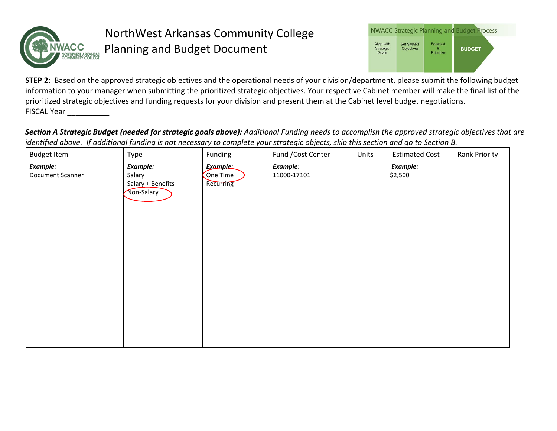

|                                         |                                       |                        | <b>NWACC Strategic Planning and Budget Process</b> |
|-----------------------------------------|---------------------------------------|------------------------|----------------------------------------------------|
| Align with<br><b>Strategic</b><br>Goals | <b>Set SMART</b><br><b>Objectives</b> | Forecast<br>Prioritize | <b>BUDGET</b>                                      |

**STEP 2**: Based on the approved strategic objectives and the operational needs of your division/department, please submit the following budget information to your manager when submitting the prioritized strategic objectives. Your respective Cabinet member will make the final list of the prioritized strategic objectives and funding requests for your division and present them at the Cabinet level budget negotiations. FISCAL Year \_\_\_\_\_\_\_\_\_\_\_

*Section A Strategic Budget (needed for strategic goals above): Additional Funding needs to accomplish the approved strategic objectives that are identified above. If additional funding is not necessary to complete your strategic objects, skip this section and go to Section B.*

| <b>Budget Item</b>           | Type                                                  | Funding                                  | Fund / Cost Center      | Units | <b>Estimated Cost</b> | Rank Priority |
|------------------------------|-------------------------------------------------------|------------------------------------------|-------------------------|-------|-----------------------|---------------|
| Example:<br>Document Scanner | Example:<br>Salary<br>Salary + Benefits<br>Non-Salary | <b>Example:</b><br>One Time<br>Recurring | Example:<br>11000-17101 |       | Example:<br>\$2,500   |               |
|                              |                                                       |                                          |                         |       |                       |               |
|                              |                                                       |                                          |                         |       |                       |               |
|                              |                                                       |                                          |                         |       |                       |               |
|                              |                                                       |                                          |                         |       |                       |               |